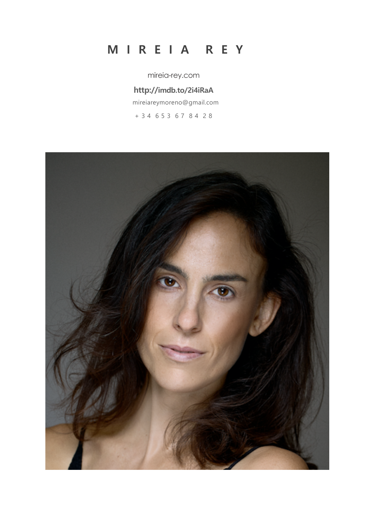# **M I R E I A R E Y**

mireia-rey.com

## **http://imdb.to/2i4iRaA**

mireiareymoreno@gmail.com

+ 3 4 6 5 3 6 7 8 4 2 8